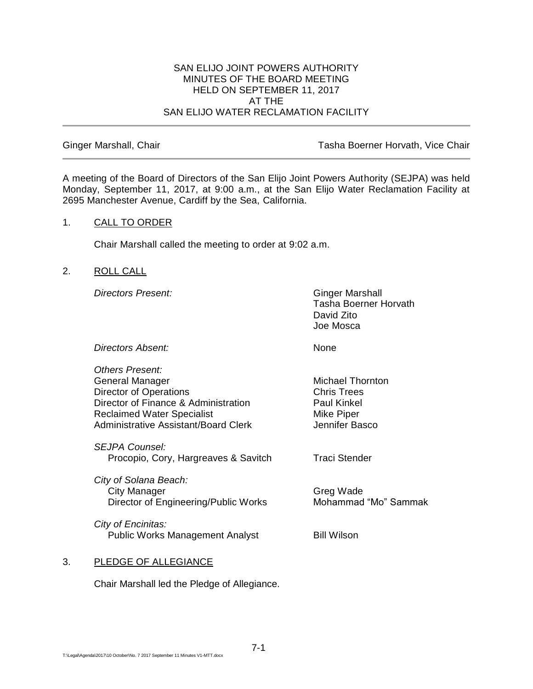#### SAN ELIJO JOINT POWERS AUTHORITY MINUTES OF THE BOARD MEETING HELD ON SEPTEMBER 11, 2017 AT THE SAN ELIJO WATER RECLAMATION FACILITY

Ginger Marshall, Chair Tasha Boerner Horvath, Vice Chair

A meeting of the Board of Directors of the San Elijo Joint Powers Authority (SEJPA) was held Monday, September 11, 2017, at 9:00 a.m., at the San Elijo Water Reclamation Facility at 2695 Manchester Avenue, Cardiff by the Sea, California.

## 1. CALL TO ORDER

Chair Marshall called the meeting to order at 9:02 a.m.

# 2. ROLL CALL

**Directors Present:** Ginger Marshall

Tasha Boerner Horvath David Zito Joe Mosca

*Directors Absent:* None

*Others Present:* General Manager Michael Thornton Director of Operations **Chris Trees** Director of Finance & Administration Paul Kinkel Reclaimed Water Specialist Mike Piper Administrative Assistant/Board Clerk Jennifer Basco

*SEJPA Counsel:* Procopio, Cory, Hargreaves & Savitch Traci Stender

*City of Solana Beach:* City Manager Greg Wade Director of Engineering/Public Works Mohammad "Mo" Sammak

*City of Encinitas:* Public Works Management Analyst Bill Wilson

# 3. PLEDGE OF ALLEGIANCE

Chair Marshall led the Pledge of Allegiance.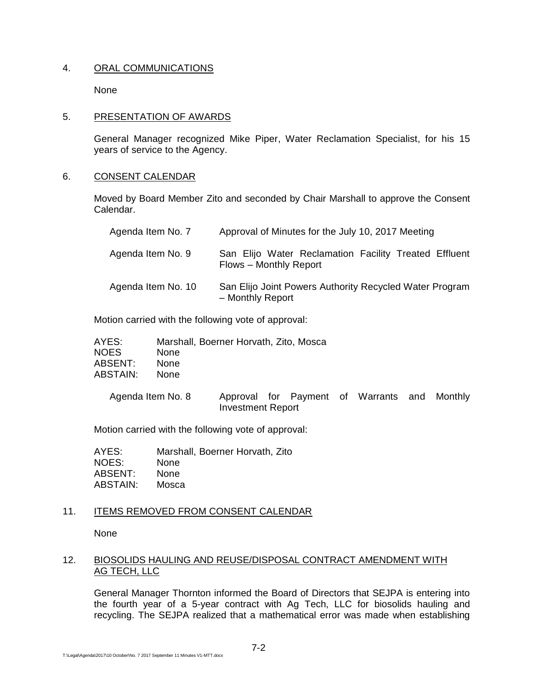## 4. ORAL COMMUNICATIONS

None

#### 5. PRESENTATION OF AWARDS

General Manager recognized Mike Piper, Water Reclamation Specialist, for his 15 years of service to the Agency.

## 6. CONSENT CALENDAR

Moved by Board Member Zito and seconded by Chair Marshall to approve the Consent Calendar.

| Agenda Item No. 7  | Approval of Minutes for the July 10, 2017 Meeting                               |
|--------------------|---------------------------------------------------------------------------------|
| Agenda Item No. 9  | San Elijo Water Reclamation Facility Treated Effluent<br>Flows - Monthly Report |
| Agenda Item No. 10 | San Elijo Joint Powers Authority Recycled Water Program<br>- Monthly Report     |

Motion carried with the following vote of approval:

| AYES:       | Marshall, Boerner Horvath, Zito, Mosca |
|-------------|----------------------------------------|
| <b>NOES</b> | <b>None</b>                            |
| ABSENT:     | <b>None</b>                            |
| ABSTAIN:    | None.                                  |

| Agenda Item No. 8 |                          |  | Approval for Payment of Warrants and Monthly |  |
|-------------------|--------------------------|--|----------------------------------------------|--|
|                   | <b>Investment Report</b> |  |                                              |  |

Motion carried with the following vote of approval:

| AYES:    | Marshall, Boerner Horvath, Zito |
|----------|---------------------------------|
| NOES:    | None                            |
| ABSENT:  | <b>None</b>                     |
| ABSTAIN: | Mosca                           |

# 11. ITEMS REMOVED FROM CONSENT CALENDAR

None

# 12. BIOSOLIDS HAULING AND REUSE/DISPOSAL CONTRACT AMENDMENT WITH AG TECH, LLC

General Manager Thornton informed the Board of Directors that SEJPA is entering into the fourth year of a 5-year contract with Ag Tech, LLC for biosolids hauling and recycling. The SEJPA realized that a mathematical error was made when establishing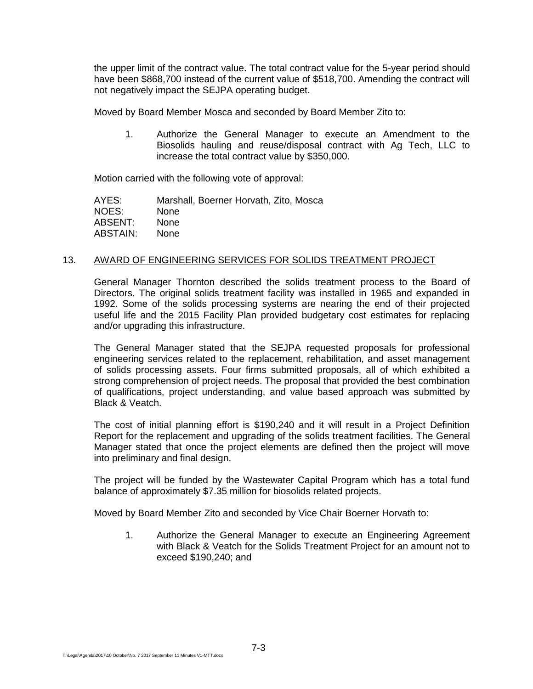the upper limit of the contract value. The total contract value for the 5-year period should have been \$868,700 instead of the current value of \$518,700. Amending the contract will not negatively impact the SEJPA operating budget.

Moved by Board Member Mosca and seconded by Board Member Zito to:

1. Authorize the General Manager to execute an Amendment to the Biosolids hauling and reuse/disposal contract with Ag Tech, LLC to increase the total contract value by \$350,000.

Motion carried with the following vote of approval:

AYES: Marshall, Boerner Horvath, Zito, Mosca NOES: None ABSENT: None ABSTAIN: None

## 13. AWARD OF ENGINEERING SERVICES FOR SOLIDS TREATMENT PROJECT

General Manager Thornton described the solids treatment process to the Board of Directors. The original solids treatment facility was installed in 1965 and expanded in 1992. Some of the solids processing systems are nearing the end of their projected useful life and the 2015 Facility Plan provided budgetary cost estimates for replacing and/or upgrading this infrastructure.

The General Manager stated that the SEJPA requested proposals for professional engineering services related to the replacement, rehabilitation, and asset management of solids processing assets. Four firms submitted proposals, all of which exhibited a strong comprehension of project needs. The proposal that provided the best combination of qualifications, project understanding, and value based approach was submitted by Black & Veatch.

The cost of initial planning effort is \$190,240 and it will result in a Project Definition Report for the replacement and upgrading of the solids treatment facilities. The General Manager stated that once the project elements are defined then the project will move into preliminary and final design.

The project will be funded by the Wastewater Capital Program which has a total fund balance of approximately \$7.35 million for biosolids related projects.

Moved by Board Member Zito and seconded by Vice Chair Boerner Horvath to:

1. Authorize the General Manager to execute an Engineering Agreement with Black & Veatch for the Solids Treatment Project for an amount not to exceed \$190,240; and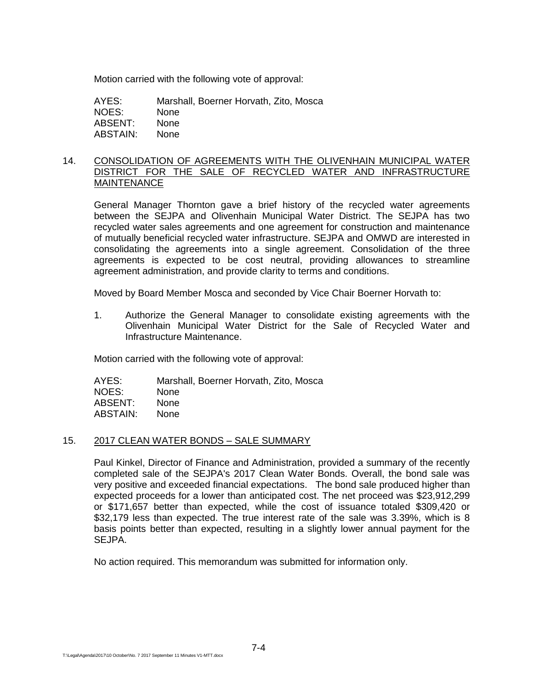Motion carried with the following vote of approval:

| AYES:    | Marshall, Boerner Horvath, Zito, Mosca |
|----------|----------------------------------------|
| NOES:    | <b>None</b>                            |
| ABSENT:  | None                                   |
| ABSTAIN: | <b>None</b>                            |

#### 14. CONSOLIDATION OF AGREEMENTS WITH THE OLIVENHAIN MUNICIPAL WATER DISTRICT FOR THE SALE OF RECYCLED WATER AND INFRASTRUCTURE **MAINTENANCE**

General Manager Thornton gave a brief history of the recycled water agreements between the SEJPA and Olivenhain Municipal Water District. The SEJPA has two recycled water sales agreements and one agreement for construction and maintenance of mutually beneficial recycled water infrastructure. SEJPA and OMWD are interested in consolidating the agreements into a single agreement. Consolidation of the three agreements is expected to be cost neutral, providing allowances to streamline agreement administration, and provide clarity to terms and conditions.

Moved by Board Member Mosca and seconded by Vice Chair Boerner Horvath to:

1. Authorize the General Manager to consolidate existing agreements with the Olivenhain Municipal Water District for the Sale of Recycled Water and Infrastructure Maintenance.

Motion carried with the following vote of approval:

AYES: Marshall, Boerner Horvath, Zito, Mosca NOES: None ABSENT: None ABSTAIN: None

#### 15. 2017 CLEAN WATER BONDS – SALE SUMMARY

Paul Kinkel, Director of Finance and Administration, provided a summary of the recently completed sale of the SEJPA's 2017 Clean Water Bonds. Overall, the bond sale was very positive and exceeded financial expectations. The bond sale produced higher than expected proceeds for a lower than anticipated cost. The net proceed was \$23,912,299 or \$171,657 better than expected, while the cost of issuance totaled \$309,420 or \$32,179 less than expected. The true interest rate of the sale was 3.39%, which is 8 basis points better than expected, resulting in a slightly lower annual payment for the SEJPA.

No action required. This memorandum was submitted for information only.